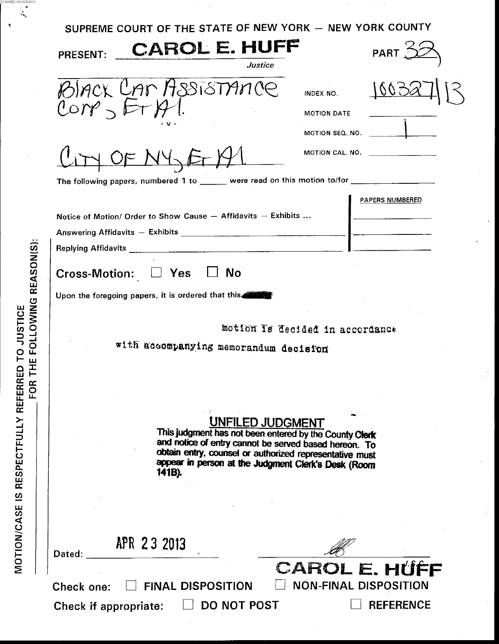| SUPREME COURT OF THE STATE OF NEW YORK - NEW YORK COUNTY<br><b>CAROL E. HUFF</b><br><b>PRESENT:</b><br><b>Justice</b><br>CAR ASSISTANCE<br>BIACK<br>Corr<br>$DF$ $N4$<br>The following papers, numbered 1 to ______ were read on this motion to/for ________________ | INDEX NO.<br>MOTION DATE<br>MOTION SEQ. NO.<br>MOTION CAL. NO. | PART $\stackrel{<}{\sim}$ |  |
|----------------------------------------------------------------------------------------------------------------------------------------------------------------------------------------------------------------------------------------------------------------------|----------------------------------------------------------------|---------------------------|--|
|                                                                                                                                                                                                                                                                      |                                                                |                           |  |
|                                                                                                                                                                                                                                                                      |                                                                |                           |  |
|                                                                                                                                                                                                                                                                      |                                                                |                           |  |
|                                                                                                                                                                                                                                                                      |                                                                |                           |  |
|                                                                                                                                                                                                                                                                      |                                                                |                           |  |
|                                                                                                                                                                                                                                                                      |                                                                |                           |  |
|                                                                                                                                                                                                                                                                      |                                                                |                           |  |
|                                                                                                                                                                                                                                                                      |                                                                |                           |  |
| Notice of Motion/ Order to Show Cause - Affidavits - Exhibits                                                                                                                                                                                                        |                                                                | PAPERS NUMBERED           |  |
| Cross-Motion: LJ Yes<br>$\Box$ No<br>Upon the foregoing papers, it is ordered that this                                                                                                                                                                              |                                                                |                           |  |
| motion Is decided in accordanct<br>with accompanying memorandum decision                                                                                                                                                                                             |                                                                |                           |  |
| <b>UNFILED JUDGMENT</b>                                                                                                                                                                                                                                              |                                                                |                           |  |
| This judgment has not been entered by the County Clerk<br>and notice of entry cannot be served based hereon. To<br>obtain entry, counsel or authorized representative must<br>appear in person at the Judgment Clerk's Desk (Room<br>141B).                          |                                                                |                           |  |
| APR 23 2013                                                                                                                                                                                                                                                          |                                                                |                           |  |
| Dated:<br><b>FINAL DISPOSITION</b><br>Check one:                                                                                                                                                                                                                     | <b>CAROL E. HUFF</b><br><b>NON-FINAL DISPOSITION</b>           |                           |  |

 $0N\frac{4}{2}3/20$ 

j.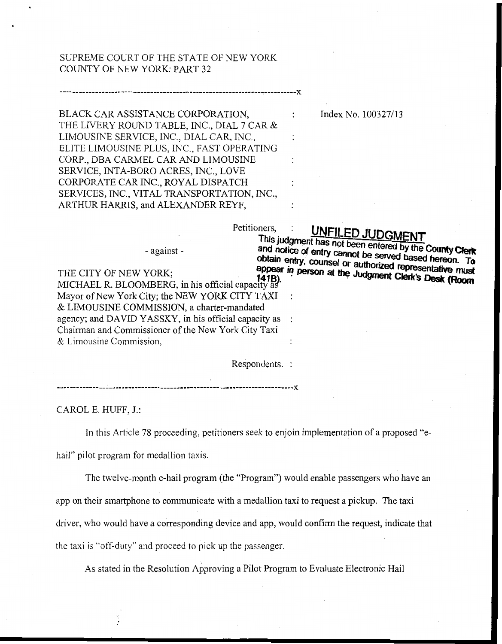## SUPREME COURT OF THE STATE OF NEW YORK COUNTY OF NEW *YON:* PART 32

BLACK CAR ASSISTANCE CORPORATION, THE LIVERY ROUND TABLE, INC., DIAL 7 CAR & LIMOUSINE SERVICE, INC., DIAL CAR, INC., ELITE LIMOUSINE PLUS, INC., FAST OPERATING CORP., DBA CAMEL CAR AND LIMOUSINE CORPORATE CAR INC., ROYAL DISPATCH SERVICES, INC., VITAL TRANSPORTATION, INC., ARTHUR HARRIS, and ALEXANDER REYF, SERVICE, INTA-BORO **ACES,** INC., LOVE

Index No. 100327/13

## Petitioners, : **UNFILED JUDGMENT**<br>This judgment has not been entered by the County Clerk UNFILED JUDGMENT

- against -

and notice of entry cannot be served based hereon. To<br>obtain entry, counsel or authorized managed hereon. To obtain entry, counsel or authorized representative must<br>appear in person at the Judgment Clerk's Deals for the appear in person at the Judgment Clerk's Desk (Room) THE CITY OF NEW YORK: MICHAEL R. BLOOMBERG, in his official capacity as Mayor of New York City; the NEW YORK CITY TAXI & LIMOUSINE COMMISSION, a charter-rnandated agency; and DAVID YASSKY, in his official capacity as : Chairman and Commissioner of the New York City Taxi  $&$  Limousine Commission,

Respondents. :

:

 $\mathbf{r}$ 

 $\ddot{\phantom{a}}$ 

CAROL E. HUFF, J.:

In this Article 78 proceeding, petitioners seek to enjoin implementation of a proposed "e-

hail" pilot program for medallion taxis.

The twelve-month e-hail program (the "Program") would enable passengers who have an app on their smartphone to communicate with a medallion taxi to request a pickup. The taxi driver, who would have a corresponding device and app, would confirm the request, indicate that the taxi is "off-duty" and procced to pick up the passenger.

As stated in the Resolution Approving a Pilot Program to Evaluate Electronic Hail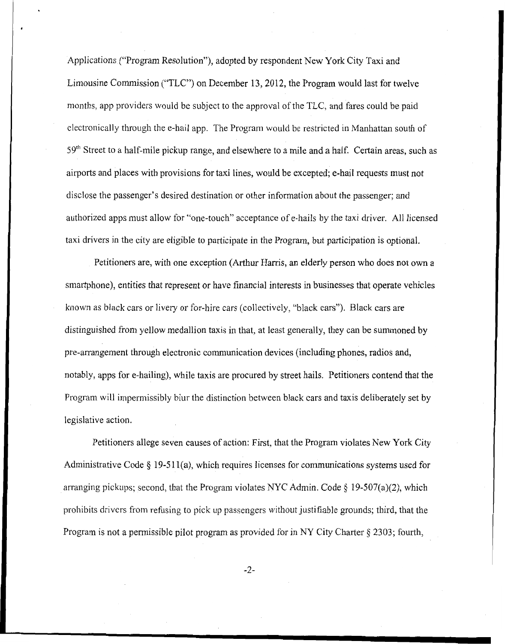Applications ("Program Resolution"), adopted by respondent New York City Taxi and Limousine Commission ("TLC") on December **13,20** 12, the Program would last for twelve months, app providers would be subject to the approval of the TLC, and fares could be paid clectronically through the e-hail app. The Prograni would be restricted in Manhattan south of 59<sup>th</sup> Street to a half-mile pickup range, and elsewhere to a mile and a half. Certain areas, such as airports and places with provisions for taxi lines, would be excepted; e-hail requests must not disclose the passenger's desired destination or other information about the passenger; and authorized apps must allow for "one-touch" acceptance of e-hails by the taxi driver. All licensed taxi drivers in the city are eligibIe to participate in the Program, but participation is optional.

Petitioners are, with one exception (Arthur Harris, an elderly person who does not own a smartphone), entities that represent or have financial interests in businesses that operate vehicles known as black cars or livery or for-hire cars (collectively, "black cars"). Black cars are distinguished from yellow medallion taxis in that, at least generally, they can be summoned by pre-arrangement through electronic communication devices (including phones, radios and, notably, apps for e-hailing), while taxis are procured by street hails. Petitioners contend that the Program will impermissibly blur the distinction between black cars and taxis deliberately set by legislative action.

Petitioners allege seven causes of action: First, that the Program violates New **York** City Administrative Code *5* 19-5 1 l(a), which requires licenses for communications systems used for arranging pickups; second, that the Program violates NYC Admin. Code § 19-507(a)(2), which prohibits drivcrs from refusing to pick up passengers without justifiable grounds; third, that the Program is not a permissible pilot program as provided for in NY City Charter *5* 2303; fourth,

-2-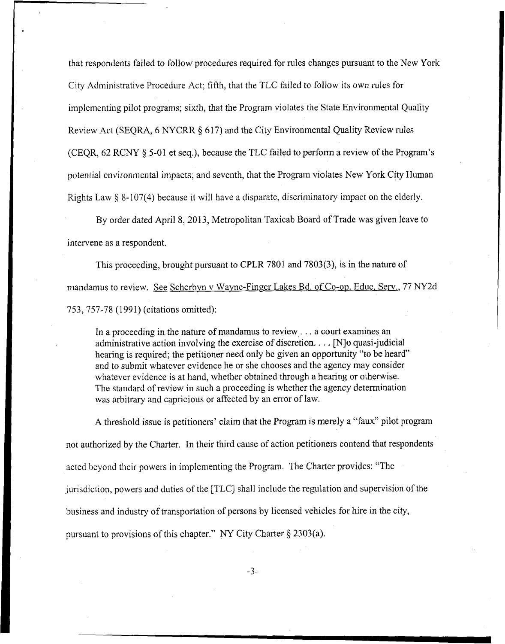that respondents failed to follow procedures required for rules changes pursuant to the New York City Adiministrative Procedure Act; fifth, that the TLC failed to follow its own rules for implemcnting pilot programs; sixth, that the Program violates the State Environmental Quality Review Act (SEQRA, *6* NYCRR *5* 617) and the City Environmental Quality Review rules (CEQR, 62 RCNY **4 5-0** 1 et seq,), because the TLC failed to perform a review of the Program's potential environmental impacts; and seventh, that the Program violates New York City Human Rights Law **8** 8-107(4) because it will have a disparate, discriminatory impact on the elderly.

By order dated April 8, 2013, Metropolitan Taxicab Board of Trade was given leave to intervene as a respondent.

This proceeding, brought pursuant to CPLR 7801 and 7803(3), is in the nature of mandamus to review. *See* Scherbvn v Wayne-Finger Lakes Bd. of Co-op. Educ. *Sew.,* 77 NY2d 753,757-78 (1991) (citations omitted):

In a proceeding in the nature of mandamus to review . . . a court examines an administrative action involving the exercise of discretion. . . [N]o quasi-judicial hearing is required; the petitioner need only be given an opportunity "to be heard" and to submit whatever evidence he or she chooses and the agency may consider whatever evidence is at hand, whether obtained through a hearing or otherwise. The standard of review in such a proceeding is whether the agency determination was arbitrary and capricious or affected by an error of law.

**A** threshold issue is petitioners' claim that the Program is merely a "faux" pilot program not authorized by the Charter. In their third cawe of action petitioners contend that respondents acted beyond their powers in implementing the Program. The Charter provides: "The jurisdiction, powers and duties of the [TLC] shall include the regulation and supervision of the business and industry of transportation of persons by licensed vehicles for hire in the city, pursuant to provisions of this chapter." *NY* City Charter *5* 2303(a).

-3-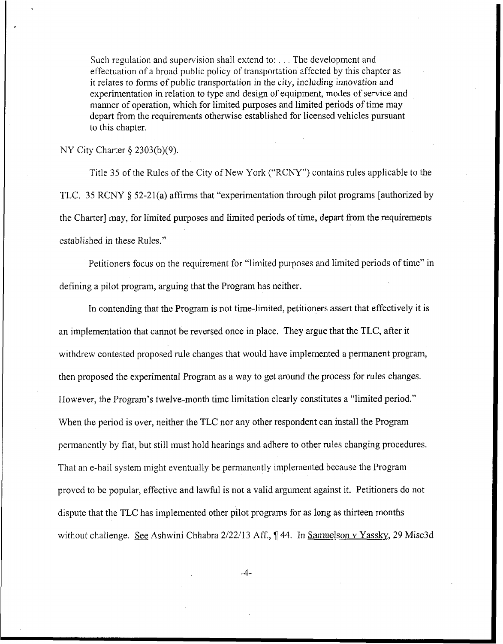Such regulation and supervision shall extend to: . . . The development and effectuation of a broad public policy of tramportation affected by this chapter as it relates to forms of public transportation in the city, including innovation and experimentation in relation to type and design of equipment, modes of service and manner of operation, which for limited purposes and limited periods of time may depart from the requirements otherwise established for licensed vehicles pursuant to this chapter.

NY City Charter  $\S$  2303(b)(9).

Title 35 of the Rules of the City of New York ("RCNY") contains rules applicable to the TLC. 35 RCNY **8** 52-21(a) affirms that "experimentation through pilot programs [authorized by the Charter] may, for limited purposes and limited periods of time, depart from the requirements established in these Rules."

Petitioners focus on the requirement for "limited purposes and limited periods of time" in defining a pilot program, arguing that the Program has neither.

In contending that the Program is not time-limited, petitioners assert that effectively it is an implementation that cannot be reversed once in place. They argue that the TLC, after it withdrew contested proposed rule changes that would have implemented a permanent program, then proposed the experimental Program as a way to get around the process for rules changes. However, the Program's twelve-month time limitation clearly constitutes a "limited period." When the period is over, neither the TLC nor any other respondent can install the Program permanently by fiat, but still must hold hearings and adhere to other rules changing procedures. That an e-hail system might eventually be permanently implemented because the Program proved to be popular, effective and lawful is not a valid argument against it. Petitioners do not dispute that the TLC has implemented other pilot programs for as long as thirteen months without challenge. See Ashwini Chhabra 2/22/13 Aff., 144. In Samuelson v Yassky, 29 Misc3d

-4-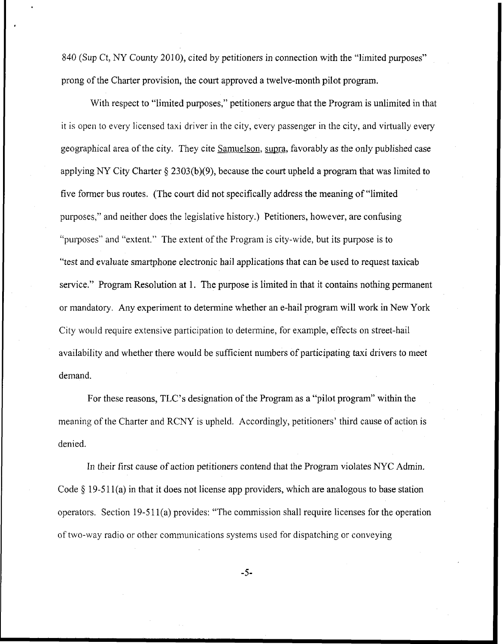840 (Sup Ct, NY County 2010), cited by petitioners in connection with the "limited purposes" prong of the Charter provision, the court approved a twelve-month pilot program.

With respect to "limited purposes," petitioners argue that the Program is unlimited in that it is open to every licensed taxi driver in the city, every passenger in the city, and virtually every geographical area of the city. They cite Samuelson, supra, favorably as the only published case applying NY City Charter **6** 2303(b)(9), because the court upheld a program that was limited to five former bus routes. (The court did not specifically address the meaning of "limited purposes," and neither does the legislative history.) Petitioners, however, are confusing "purposes" and "extent." The extent of'the Program is city-wide, but its purpose is to "test and evaluate smartphone electronic hail applications that can be used to request taxicab service." Program Resolution at 1. The purpose is limited in that it contains nothing permanent or mandatory. Any experiment to determine whether an e-hail program will work in New York City would require extensive participation to determine, for example, effects on street-hail availability and whether there would be sufficient numbers of participating taxi drivers to meet demand.

For these reasons, TLC's designation of the Program as a "pilot program" within the meaning of the Charter and RCNY is upheld. Accordingly, petitioners' third cause of action is denied.

In their first cause of action petitioners contend that the Program violates NYC Admin. Code § 19-511(a) in that it does not license app providers, which are analogous to base station operators. Section 19-5 1 l(a) provides: "The commission shall require licenses for the operation of two-way radio or other communications systems used for dispatching or conveying

*-5-*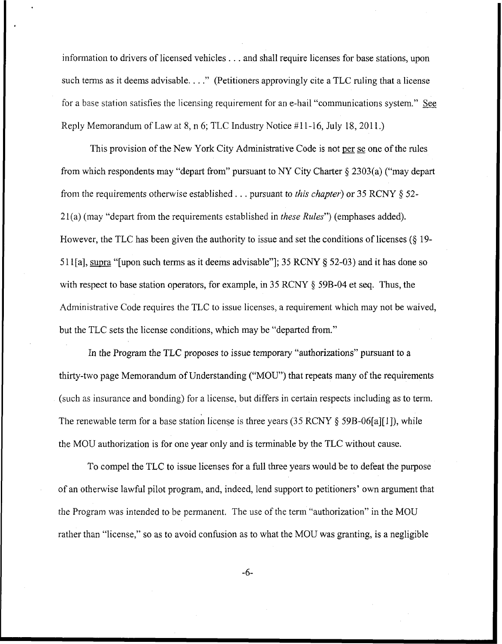information to drivers of licensed vehicles . . . and shall require licenses for base stations, upon such terms as it deems advisable. . . ." (Petitioners approvingly cite a TLC ruling that a license for a base station satisfies the licensing requirement for an e-hail "communications system." See Reply Memorandum of Law at 8, **n** 6; TLC Industry Notice #11-16, July 18,201 1.)

This provision of the New York City Administrative Code is not per se one of the rules from which respondents may "depart from" pursuant to NY City Charter *5* 2303(a) ("may depart from the requirements otherwise established. . . pursuant to *this chapter)* or *35* RCNY 6 **52-**  2 1 (a) (may "depart from the requirements established in *these Rules")* (emphases added). However, the TLC has been given the authority to issue and set the conditions of licenses *(5* 19- *5* 1 l[a], supra "[upon such terms as it deems advisable"]; 35 RCNY *5* 52-03) and it has done so with respect to base station operators, for example, in 35 RCNY 5 **59B-04** et seq. Thus, the Administrative Code requires the TLC to issue licenses, a requirement which may not be waived, but the TLC sets the license conditions, which may be "departed from."

In the Program the TLC proposes to issue temporary "authorizations" pursuant to a thirty-two page Memorandum of Understanding ("MOU") that repeats many of the requirements (such as insurance and bonding) for a license, but differs in certain respects including as to term. The renewable term for a base station license is three years (35 RCNY  $\delta$  59B-06[a][1]), while the MOU authorization is for one year only and is terminable by the TLC without cause.

To compel the TLC to issue licenses for a full three years would be to defeat the purpose of an otherwise lawful pilot program, and, indeed, lend support to petitioners' own argument that the Program was intended to be permanent. The use of the term "authorization" in the MOU rather than "license," so as to avoid confusion as to what the MOU was granting, is a negligible

**-6-**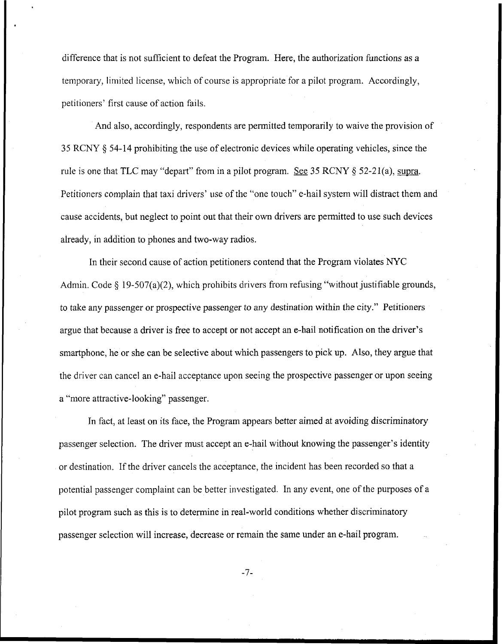difference that is not sufficient to defeat the Program. Here, the authorization functions as a temporary, limited license, which of course is appropriate for a pilot program. Accordingly, petitioners' first cause of action fails.

And also, accordingly, respondents are permitted temporarily to waive the provision of 35 RCNY § 54-14 prohibiting the use of electronic devices while operating vehicles, since the rule is one that TLC may "depart" from in a pilot program. See  $35$  RCNY  $\S$   $52-21$ (a), supra. Petitioners complain that taxi drivers' use of the "one touch" e-hail system will distract them and cause accidents, but neglect to point out that their own drivers are permitted to use such devices already, in addition to phones and two-way radios.

In their second cause of action petitioners contend that the Program violates NYC Admin. Code § 19-507(a)(2), which prohibits drivers from refusing "without justifiable grounds, to take any passenger or prospective passenger to any destination within the city." Petitioners argue that because a driver is free to accept or not accept an e-hail notification on the driver's smartphone, he or she can be selective about which passengers to pick up. Also, they argue that the driver can cancel an e-hail acceptance upon seeing the prospective passenger or upon seeing a "more attractive-looking" passenger.

In fact, at least on its face, the Program appears better aimed at avoiding discriminatory passenger selection. The driver must accept an e-hail without knowing the passenger's identity or destination. If the driver cancels the acceptance, the incident has been recorded so that a potential passenger complaint can be better investigated. In any event, one of the purposes of a pilot program such as this is to determine in real-world conditions whether discriminatory passenger selection will increase, decrease or remain the same under an e-hail program.

-7-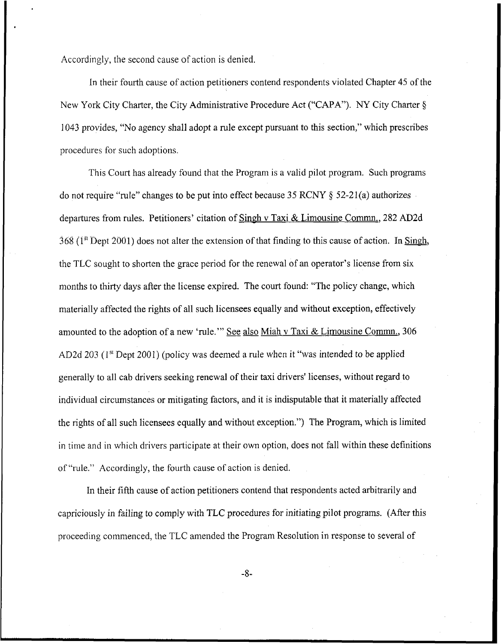Accordingly, the second cause of action is denied.

In their fourth cause of action petitioners contend respondents violated Chapter 45 of the New York City Charter, the City Administrative Procedure Act ("CAPA"). *NY* City Charter **fi I043** provides, "No agency shall adopt a rule except pursuant to this section," which prescribes procedures for such adoptions.

This Court has already found that the Program is a valid pilot program. Such programs do not require "rule" changes to be put into effect because 35 RCNY **8** 52-2 1 (a) authorizes departures from rules. Petitioners' citation of Singh v Taxi & Limousine Commn,, 282 **AD2d**   $368$  ( $1<sup>st</sup>$  Dept 2001) does not alter the extension of that finding to this cause of action. In Singh, the TLC sought to shorten the grace period for the renewal of an operator's license from six months to thirty days after the license expired. The court found: "The policy change, which materially affected the rights of all such licensees equally and without exception, effectively amounted to the adoption of a new 'rule.'" See also Miah v Taxi & Limousine Commn., 306 AD2d 203 (1" Dept 2001) (policy was deemed a rule when it "was intended *to* be applied generally to all cab drivers seeking renewal of their taxi drivers' licenses, without regard to individual circumstances or mitigating factors, and it is indisputable that it materially affected the rights of all such licensees equally and without exception.") The Program, which is limited in time and in which drivers participate at their own option, does not fall within these definitions of "rule." Accordingly, the fourth cause of action is denied.

In their fifth cause of action petitioners contend that respondents acted arbitrarily and capriciously in failing to comply with TLC procedures for initiating pilot programs. (After this proceeding commenced, the TLC amended the Program Resolution in response to several of

-8-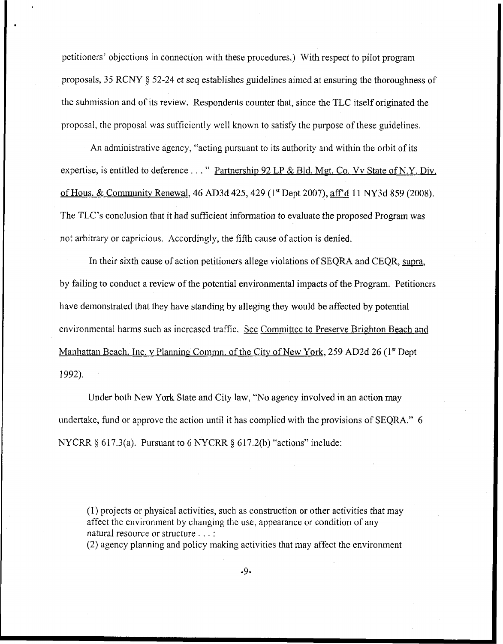petitioners' objections in connection with these procedures.) With respect to pilot program proposals, 35 RCNY **8** 52-24 et seq establishes guidelines aimed at ensuring the thoroughness of the submission and of its review. Respondents counter that, since the TLC itself originated the proposal, the proposal was sufficiently well known to satisfy the purpose of these guidelines.

An administrative agency, "acting pursuant to its authority and within the orbit of its expertise, is entitled to deference  $\dots$  " Partnership 92 LP & Bld. Mgt. Co. Vv State of N.Y. Div. of Hous. & Community Renewal, 46 AD3d 425,429 (1'' Dept **2007), affd** 11 NY3d 859 (2008). The TLC's conclusion that it had sufficient information to evaluate the proposed Program was not arbitrary or capricious. Accordingly, the fifth cause of action is denied.

In their sixth cause of action petitioners allege violations of SEQRA and CEQR, supra, by failing to conduct a review of the potential environmental impacts of the Program. Petitioners have demonstrated that they have standing by alleging they would be affected by potential environmental harms such as increased traffic. See Committee to Preserve Brighton Beach and Manhattan Beach, Inc. v Planning Commn. of the City of New York, 259 AD2d 26 (1<sup>st</sup> Dept 1992).

Under both New York State and City law, "No agency involved in an action may undertake, fund or approve the action until it has complied with the provisions of SEQRA." 6 NYCRR *5* **6** 17.3(a). Pursuant to 6 NYCRR *6* 617.2(b) "actions" include:

(1) projects or physical activities, such as construction or other activities that may affect the environment by changing the use, appearance or condition of any natural resource or structure . . . :

(2) agency planning and policy making activities that may affect the environment

-9-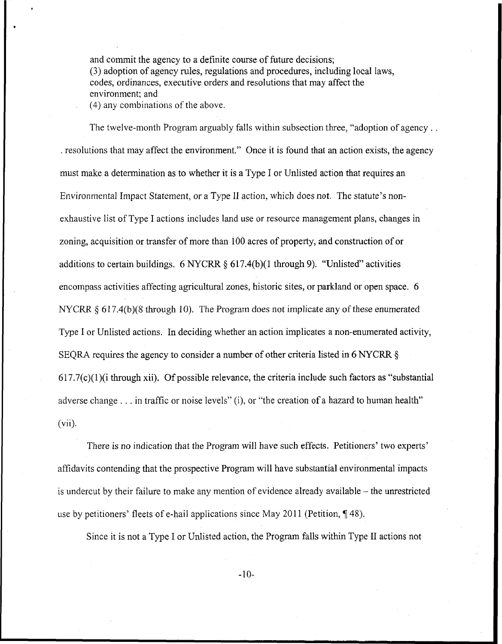and commit the agency to a definite course of future decisions; (3) adoption of agency rules, regulations and procedures, including local laws, codes, ordinances, executive orders and resolutions that may affect the environment; and (4) any combinations of the above.

The twelve-month Program arguably falls within subsection three, "adoption of agency . . . resolutions that may affect the environment." Once it is found that an action exists, the agency must make a determination as to whether it is a Type I or Unlisted action that requires an Environmental Impact Statement, or a Type **11** action, which does not. The statute's nonexhaustive list of Type I actions includes land use or resource management plans, changes in zoning, acquisition or transfer of more than 100 acres of property, and construction of or additions to certain buildings. *6* NYCRR *6* 617.4(b)(l through 9). "Unlisted" activities encompass activities affecting agricultural zones, historic sites, or parkland or open space. 6 NYCRR  $\S 617.4(b)(8)$  through 10). The Program does not implicate any of these enumerated Type I or Unlisted actions. In deciding whether an action implicates a non-enurnerated activity, SEQRA requires the agency to consider a number of other criteria listed in 6 NYCRR 6  $617.7(c)(1)(i)$  through xii). Of possible relevance, the criteria include such factors as "substantial" adverse change . . . in traffic or noise levels" (i), or "the creation of a hazard to human health" (vii).

There is no indication that the Program will have such effects. Petitioners' two experts' affidavits contending that the prospective Program will have substantial environmental impacts is undercut by their failure to make any mention of evidence already available  $-$  the unrestricted use by petitioners' fleets of e-hail applications since May 2011 (Petition, 148).

Since it is not a Type I or Unlisted action, the Program falls within Type I1 actions not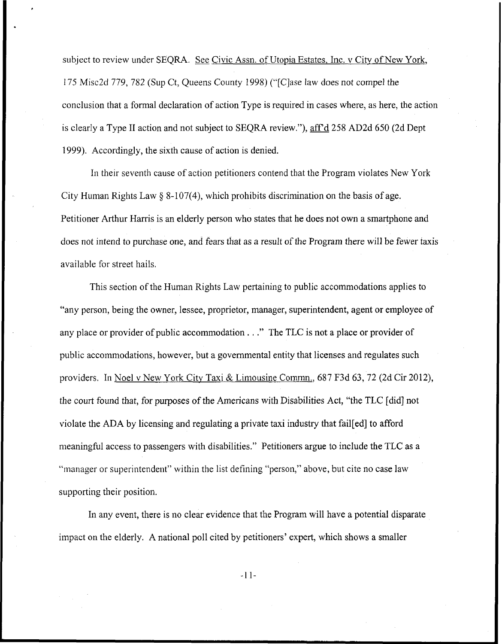subject to review under SEQRA. See Civic Assn. of Utopia Estates, Inc. v City of New York, I75 Misc2d 779, 782 (Sup Ct, Queens County 1998) (b'[C]ase law does not compel the conclusion that a formal declaration of action Type is required in cases where, as here, the action is clearly a Type II action and not subject to SEQRA review."), aff'd 258 AD2d 650 (2d Dept 1999). Accordingly, the sixth cause of action is denied.

**In** their seventh cause of action petitioners contend that the Program violates New York City Human Rights Law  $\S 8-107(4)$ , which prohibits discrimination on the basis of age. Petitioner Arthur Harris is an elderly person who states that he does not own a smartphone and docs not intend to purchase one, and fears that as a result of the Program there will be fewer taxis available for street hails.

This section of the Human Rights Law pertaining to public accommodations applies to "any person, being the owner, lessee, proprietor, manager, superintendent, agent or employee of any place or provider of public accommodation . . ." The TLC is not a place or provider of public accommodations, however, but a governmental entity that licenses and regulates such providers. In Noel v New York City Taxi & Limousine Commn., 687 F3d 63, 72 (2d Cir 2012), the court found that, for purposes of the Americans with Disabilities Act, "the TLC [did] not violate the ADA by licensing and regulating a private taxi industry that fail[ed] to afford meaningful access to passengers with disabilities." Petitioners argue to include the TLC as a "manager or superintendent" within the list defining "person," above, but cite no case law supporting their position.

In any event, there is no clear evidence that the Program will have a potential disparate impact on the elderly. **A** national poll cited by petitioners' expert, which shows a smaller

-1 1-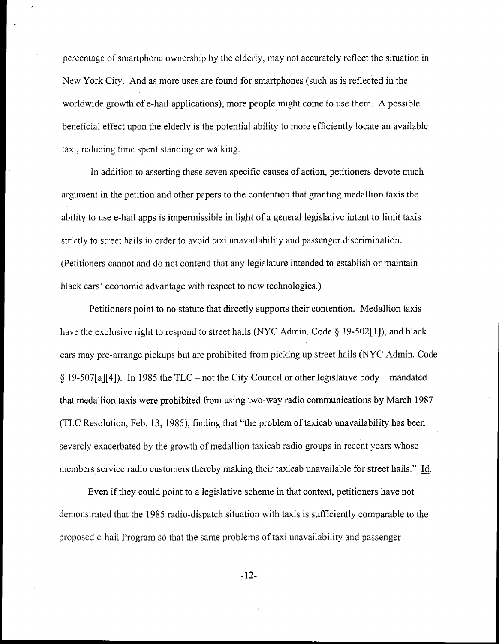percentage of smartphone ownership by the elderly, may not accurately reflect the situation in New York City. And as more uses are found for smartphones (such as is reflected in the worldwide growth of e-hail applications), more people might come to use them. **A** possible beneficial effect upon the elderly is the potential ability to more efficiently locate an available taxi, reducing time spent standing or walking.

In addition to asserting these seven specific causes of action, petitioners devote much argument in the petition and other papers to the contention that granting medallion taxis the ability to use e-hail apps is impermissible in light of a general legislative intent to limit taxis strictly to street hails in order to avoid taxi unavailability and passenger discrimination. (Petitioners cannot and do not contend that any legislature intended to establish or maintain black cars' economic advantage with respect to new technologies.)

Petitioners point to no statute that directly supports their contention. Medallion taxis have the exclusive right to respond to street hails (NYC Admin. Code *5* 19-502[1]), and black cars may pre-arrange pickups but are prohibited from picking up street hails (NYC Admin. Code  $\frac{5}{2}$  19-507[a][4]). In 1985 the TLC – not the City Council or other legislative body – mandated that medallion taxis were prohibited from using two-way radio communications by March 1987 (TLC Resolution, Feb. 13, 1985), finding that "the problem of taxicab unavailability has been severcly exacerbated by the growth of medallion taxicab radio groups in recent years whose members service radio customers thereby making their taxicab unavailable for street hails." Id.

Even if they could point to a legislative scheme in that context, petitioners have not demonstrated that the 1985 radio-dispatch situation with taxis is sufficiently comparable to the proposed e-hail Program so that the same problems of taxi unavailability and passenger

-12-